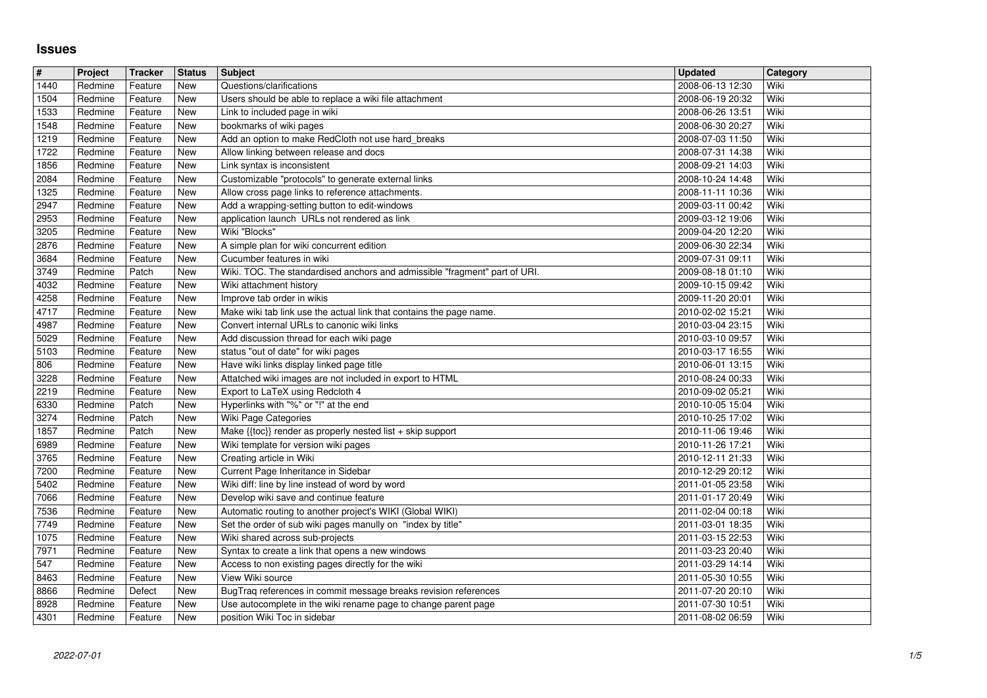## **Issues**

| #            | Project            | Tracker            | <b>Status</b>            | Subject                                                                                                            | <b>Updated</b>                       | Category     |
|--------------|--------------------|--------------------|--------------------------|--------------------------------------------------------------------------------------------------------------------|--------------------------------------|--------------|
| 1440<br>1504 | Redmine<br>Redmine | Feature<br>Feature | <b>New</b><br><b>New</b> | Questions/clarifications                                                                                           | 2008-06-13 12:30<br>2008-06-19 20:32 | Wiki<br>Wiki |
| 1533         | Redmine            | Feature            | <b>New</b>               | Users should be able to replace a wiki file attachment<br>Link to included page in wiki                            | 2008-06-26 13:51                     | Wiki         |
| 1548         | Redmine            | Feature            | <b>New</b>               | bookmarks of wiki pages                                                                                            | 2008-06-30 20:27                     | Wiki         |
| 1219         | Redmine            | Feature            | <b>New</b>               | Add an option to make RedCloth not use hard_breaks                                                                 | 2008-07-03 11:50                     | Wiki         |
| 1722         | Redmine<br>Redmine | Feature<br>Feature | New<br><b>New</b>        | Allow linking between release and docs<br>Link syntax is inconsistent                                              | 2008-07-31 14:38<br>2008-09-21 14:03 | Wiki<br>Wiki |
| 1856<br>2084 | Redmine            | Feature            | <b>New</b>               | Customizable "protocols" to generate external links                                                                | 2008-10-24 14:48                     | Wiki         |
| 1325         | Redmine            | Feature            | <b>New</b>               | Allow cross page links to reference attachments.                                                                   | 2008-11-11 10:36                     | Wiki         |
| 2947<br>2953 | Redmine<br>Redmine | Feature<br>Feature | <b>New</b><br><b>New</b> | Add a wrapping-setting button to edit-windows<br>application launch URLs not rendered as link                      | 2009-03-11 00:42<br>2009-03-12 19:06 | Wiki<br>Wiki |
| 3205         | Redmine            | Feature            | <b>New</b>               | Wiki "Blocks"                                                                                                      | 2009-04-20 12:20                     | Wiki         |
| 2876         | Redmine            | Feature            | New                      | A simple plan for wiki concurrent edition                                                                          | 2009-06-30 22:34                     | Wiki         |
| 3684<br>3749 | Redmine<br>Redmine | Feature<br>Patch   | New<br><b>New</b>        | Cucumber features in wiki<br>Wiki. TOC. The standardised anchors and admissible "fragment" part of URI.            | 2009-07-31 09:11<br>2009-08-18 01:10 | Wiki<br>Wiki |
| 4032         | Redmine            | Feature            | <b>New</b>               | Wiki attachment history                                                                                            | 2009-10-15 09:42                     | Wiki         |
| 4258         | Redmine            | Feature            | <b>New</b>               | Improve tab order in wikis                                                                                         | 2009-11-20 20:01                     | Wiki         |
| 4717<br>4987 | Redmine<br>Redmine | Feature<br>Feature | <b>New</b><br><b>New</b> | Make wiki tab link use the actual link that contains the page name.<br>Convert internal URLs to canonic wiki links | 2010-02-02 15:21<br>2010-03-04 23:15 | Wiki<br>Wiki |
| 5029         | Redmine            | Feature            | New                      | Add discussion thread for each wiki page                                                                           | 2010-03-10 09:57                     | Wiki         |
| 5103         | Redmine            | Feature            | <b>New</b>               | status "out of date" for wiki pages                                                                                | 2010-03-17 16:55                     | Wiki         |
| 806<br>3228  | Redmine<br>Redmine | Feature<br>Feature | <b>New</b><br>New        | Have wiki links display linked page title<br>Attatched wiki images are not included in export to HTML              | 2010-06-01 13:15<br>2010-08-24 00:33 | Wiki<br>Wiki |
| 2219         | Redmine            | Feature            | <b>New</b>               | Export to LaTeX using Redcloth 4                                                                                   | 2010-09-02 05:21                     | Wiki         |
| 6330         | Redmine            | Patch              | <b>New</b>               | Hyperlinks with "%" or "!" at the end                                                                              | 2010-10-05 15:04                     | Wiki         |
| 3274<br>1857 | Redmine<br>Redmine | Patch<br>Patch     | <b>New</b><br><b>New</b> | Wiki Page Categories<br>Make {{toc}} render as properly nested list + skip support                                 | 2010-10-25 17:02<br>2010-11-06 19:46 | Wiki<br>Wiki |
| 6989         | Redmine            | Feature            | <b>New</b>               | Wiki template for version wiki pages                                                                               | 2010-11-26 17:21                     | Wiki         |
| 3765         | Redmine            | Feature            | <b>New</b>               | Creating article in Wiki                                                                                           | 2010-12-11 21:33                     | Wiki         |
| 7200<br>5402 | Redmine<br>Redmine | Feature<br>Feature | <b>New</b><br><b>New</b> | Current Page Inheritance in Sidebar<br>Wiki diff: line by line instead of word by word                             | 2010-12-29 20:12<br>2011-01-05 23:58 | Wiki<br>Wiki |
| 7066         | Redmine            | Feature            | <b>New</b>               | Develop wiki save and continue feature                                                                             | 2011-01-17 20:49                     | Wiki         |
| 7536         | Redmine            | Feature            | <b>New</b>               | Automatic routing to another project's WIKI (Global WIKI)                                                          | 2011-02-04 00:18                     | Wiki         |
| 7749<br>1075 | Redmine<br>Redmine | Feature<br>Feature | <b>New</b><br><b>New</b> | Set the order of sub wiki pages manully on "index by title"<br>Wiki shared across sub-projects                     | 2011-03-01 18:35<br>2011-03-15 22:53 | Wiki<br>Wiki |
| 7971         | Redmine            | Feature            | <b>New</b>               | Syntax to create a link that opens a new windows                                                                   | 2011-03-23 20:40                     | Wiki         |
| 547          | Redmine            | Feature            | <b>New</b>               | Access to non existing pages directly for the wiki                                                                 | 2011-03-29 14:14                     | Wiki         |
| 8463<br>8866 | Redmine<br>Redmine | Feature<br>Defect  | New<br>New               | View Wiki source<br>BugTraq references in commit message breaks revision references                                | 2011-05-30 10:55<br>2011-07-20 20:10 | Wiki<br>Wiki |
| 8928         | Redmine            | Feature            | <b>New</b>               | Use autocomplete in the wiki rename page to change parent page                                                     | 2011-07-30 10:51                     | Wiki         |
|              |                    |                    |                          |                                                                                                                    |                                      |              |
|              |                    |                    |                          |                                                                                                                    |                                      |              |
|              |                    |                    |                          |                                                                                                                    |                                      |              |
|              |                    |                    |                          |                                                                                                                    |                                      |              |
|              |                    |                    |                          |                                                                                                                    |                                      |              |
|              |                    |                    |                          |                                                                                                                    |                                      |              |
|              |                    |                    |                          |                                                                                                                    |                                      |              |
|              |                    |                    |                          |                                                                                                                    |                                      |              |
|              |                    |                    |                          |                                                                                                                    |                                      |              |
|              |                    |                    |                          |                                                                                                                    |                                      |              |
|              |                    |                    |                          |                                                                                                                    |                                      |              |
|              |                    |                    |                          |                                                                                                                    |                                      |              |
|              |                    |                    |                          |                                                                                                                    |                                      |              |
|              |                    |                    |                          |                                                                                                                    |                                      |              |
|              |                    |                    |                          |                                                                                                                    |                                      |              |
|              |                    |                    |                          |                                                                                                                    |                                      |              |
|              |                    |                    |                          |                                                                                                                    |                                      |              |
|              |                    |                    |                          |                                                                                                                    |                                      |              |
|              |                    |                    |                          |                                                                                                                    |                                      |              |
|              |                    |                    |                          |                                                                                                                    |                                      |              |
|              |                    |                    |                          |                                                                                                                    |                                      |              |
|              |                    |                    |                          |                                                                                                                    |                                      |              |
|              |                    |                    |                          |                                                                                                                    |                                      |              |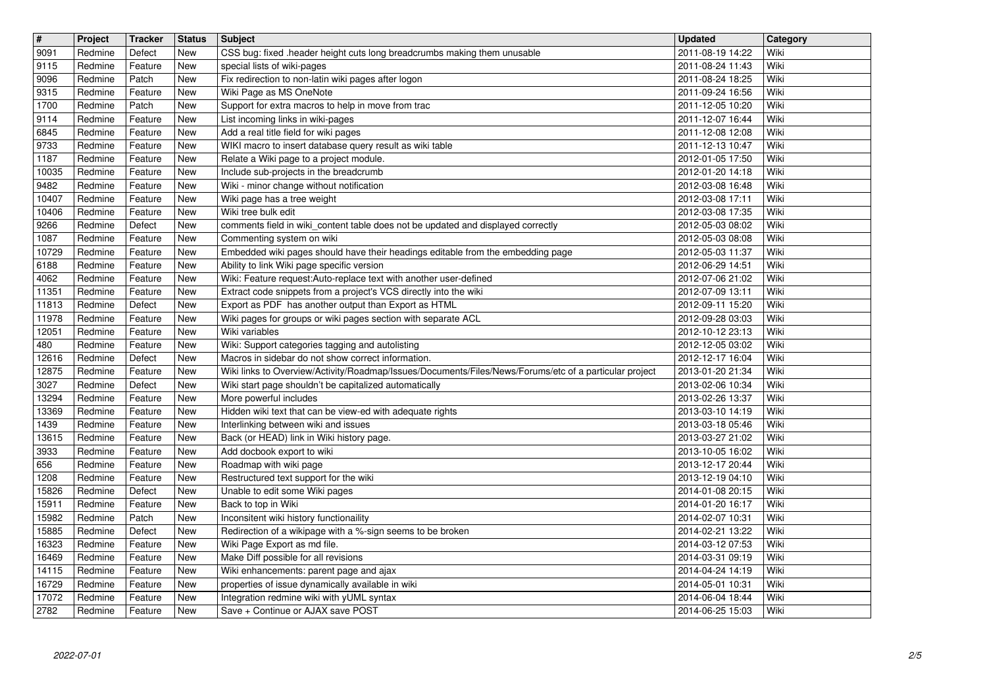| $\overline{\mathbf{H}}$ | Project            | <b>Tracker</b>     | <b>Status</b>            | <b>Subject</b>                                                                                                                                               | <b>Updated</b>                       | Category     |
|-------------------------|--------------------|--------------------|--------------------------|--------------------------------------------------------------------------------------------------------------------------------------------------------------|--------------------------------------|--------------|
| 9091<br>9115            | Redmine<br>Redmine | Defect<br>Feature  | New<br>New               | CSS bug: fixed .header height cuts long breadcrumbs making them unusable<br>special lists of wiki-pages                                                      | 2011-08-19 14:22<br>2011-08-24 11:43 | Wiki<br>Wiki |
| 9096                    | Redmine            | Patch              | <b>New</b>               | Fix redirection to non-latin wiki pages after logon                                                                                                          | 2011-08-24 18:25                     | Wiki         |
| 9315<br>1700            | Redmine<br>Redmine | Feature<br>Patch   | <b>New</b><br><b>New</b> | Wiki Page as MS OneNote<br>Support for extra macros to help in move from trac                                                                                | 2011-09-24 16:56<br>2011-12-05 10:20 | Wiki<br>Wiki |
| 9114                    | Redmine            | Feature            | <b>New</b>               | List incoming links in wiki-pages                                                                                                                            | 2011-12-07 16:44                     | Wiki         |
| 6845                    | Redmine            | Feature            | <b>New</b>               | Add a real title field for wiki pages                                                                                                                        | 2011-12-08 12:08                     | Wiki         |
| 9733<br>1187            | Redmine<br>Redmine | Feature<br>Feature | <b>New</b><br>New        | WIKI macro to insert database query result as wiki table<br>Relate a Wiki page to a project module.                                                          | 2011-12-13 10:47<br>2012-01-05 17:50 | Wiki<br>Wiki |
| 10035                   | Redmine            | Feature            | <b>New</b>               | Include sub-projects in the breadcrumb                                                                                                                       | 2012-01-20 14:18                     | Wiki         |
| 9482<br>10407           | Redmine<br>Redmine | Feature<br>Feature | <b>New</b><br><b>New</b> | Wiki - minor change without notification<br>Wiki page has a tree weight                                                                                      | 2012-03-08 16:48<br>2012-03-08 17:11 | Wiki<br>Wiki |
| 10406                   | Redmine            | Feature            | <b>New</b>               | Wiki tree bulk edit                                                                                                                                          | 2012-03-08 17:35                     | Wiki         |
| 9266                    | Redmine            | Defect             | <b>New</b>               | comments field in wiki_content table does not be updated and displayed correctly                                                                             | 2012-05-03 08:02                     | Wiki         |
| 1087<br>10729           | Redmine<br>Redmine | Feature<br>Feature | <b>New</b><br><b>New</b> | Commenting system on wiki<br>Embedded wiki pages should have their headings editable from the embedding page                                                 | 2012-05-03 08:08<br>2012-05-03 11:37 | Wiki<br>Wiki |
| 6188                    | Redmine            | Feature            | <b>New</b>               | Ability to link Wiki page specific version                                                                                                                   | 2012-06-29 14:51                     | Wiki         |
| 4062<br>11351           | Redmine<br>Redmine | Feature<br>Feature | New<br>New               | Wiki: Feature request: Auto-replace text with another user-defined<br>Extract code snippets from a project's VCS directly into the wiki                      | 2012-07-06 21:02<br>2012-07-09 13:11 | Wiki<br>Wiki |
| 11813                   | Redmine            | Defect             | <b>New</b>               | Export as PDF has another output than Export as HTML                                                                                                         | 2012-09-11 15:20                     | Wiki         |
| 11978<br>12051          | Redmine<br>Redmine | Feature<br>Feature | <b>New</b><br><b>New</b> | Wiki pages for groups or wiki pages section with separate ACL<br>Wiki variables                                                                              | 2012-09-28 03:03<br>2012-10-12 23:13 | Wiki<br>Wiki |
| 480                     | Redmine            | Feature            | New                      | Wiki: Support categories tagging and autolisting                                                                                                             | 2012-12-05 03:02                     | Wiki         |
| 12616<br>12875          | Redmine<br>Redmine | Defect<br>Feature  | <b>New</b><br><b>New</b> | Macros in sidebar do not show correct information.<br>Wiki links to Overview/Activity/Roadmap/Issues/Documents/Files/News/Forums/etc of a particular project | 2012-12-17 16:04<br>2013-01-20 21:34 | Wiki<br>Wiki |
| 3027                    | Redmine            | Defect             | <b>New</b>               | Wiki start page shouldn't be capitalized automatically                                                                                                       | 2013-02-06 10:34                     | Wiki         |
| 13294                   | Redmine            | Feature            | <b>New</b>               | More powerful includes                                                                                                                                       | 2013-02-26 13:37                     | Wiki         |
| 13369<br>1439           | Redmine<br>Redmine | Feature<br>Feature | <b>New</b><br><b>New</b> | Hidden wiki text that can be view-ed with adequate rights<br>Interlinking between wiki and issues                                                            | 2013-03-10 14:19<br>2013-03-18 05:46 | Wiki<br>Wiki |
| 13615                   | Redmine            | Feature            | <b>New</b>               | Back (or HEAD) link in Wiki history page.                                                                                                                    | 2013-03-27 21:02                     | Wiki         |
| 3933<br>656             | Redmine<br>Redmine | Feature<br>Feature | <b>New</b><br><b>New</b> | Add docbook export to wiki<br>Roadmap with wiki page                                                                                                         | 2013-10-05 16:02<br>2013-12-17 20:44 | Wiki<br>Wiki |
| 1208                    | Redmine            | Feature            | <b>New</b>               | Restructured text support for the wiki                                                                                                                       | 2013-12-19 04:10                     | Wiki         |
| 15826                   | Redmine            | Defect             | <b>New</b>               | Unable to edit some Wiki pages                                                                                                                               | 2014-01-08 20:15                     | Wiki         |
| 15911<br>15982          | Redmine<br>Redmine | Feature<br>Patch   | <b>New</b><br>New        | Back to top in Wiki<br>Inconsitent wiki history functionaility                                                                                               | 2014-01-20 16:17<br>2014-02-07 10:31 | Wiki<br>Wiki |
| 15885                   | Redmine            | Defect             | New                      | Redirection of a wikipage with a %-sign seems to be broken                                                                                                   | 2014-02-21 13:22                     | Wiki         |
| 16323<br>16469          | Redmine<br>Redmine | Feature<br>Feature | <b>New</b><br>New        | Wiki Page Export as md file.<br>Make Diff possible for all revisions                                                                                         | 2014-03-12 07:53<br>2014-03-31 09:19 | Wiki<br>Wiki |
| 14115                   | Redmine            | Feature            | New                      | Wiki enhancements: parent page and ajax                                                                                                                      | 2014-04-24 14:19                     | Wiki         |
| 16729<br>17072          | Redmine<br>Redmine | Feature<br>Feature | New<br>New               | properties of issue dynamically available in wiki<br>Integration redmine wiki with yUML syntax                                                               | 2014-05-01 10:31<br>2014-06-04 18:44 | Wiki<br>Wiki |
| 2782                    | Redmine            | Feature            | New                      | Save + Continue or AJAX save POST                                                                                                                            | 2014-06-25 15:03                     | Wiki         |
|                         |                    |                    |                          |                                                                                                                                                              |                                      |              |
|                         |                    |                    |                          |                                                                                                                                                              |                                      |              |
|                         |                    |                    |                          |                                                                                                                                                              |                                      |              |
|                         |                    |                    |                          |                                                                                                                                                              |                                      |              |
|                         |                    |                    |                          |                                                                                                                                                              |                                      |              |
|                         |                    |                    |                          |                                                                                                                                                              |                                      |              |
|                         |                    |                    |                          |                                                                                                                                                              |                                      |              |
|                         |                    |                    |                          |                                                                                                                                                              |                                      |              |
|                         |                    |                    |                          |                                                                                                                                                              |                                      |              |
|                         |                    |                    |                          |                                                                                                                                                              |                                      |              |
|                         |                    |                    |                          |                                                                                                                                                              |                                      |              |
|                         |                    |                    |                          |                                                                                                                                                              |                                      |              |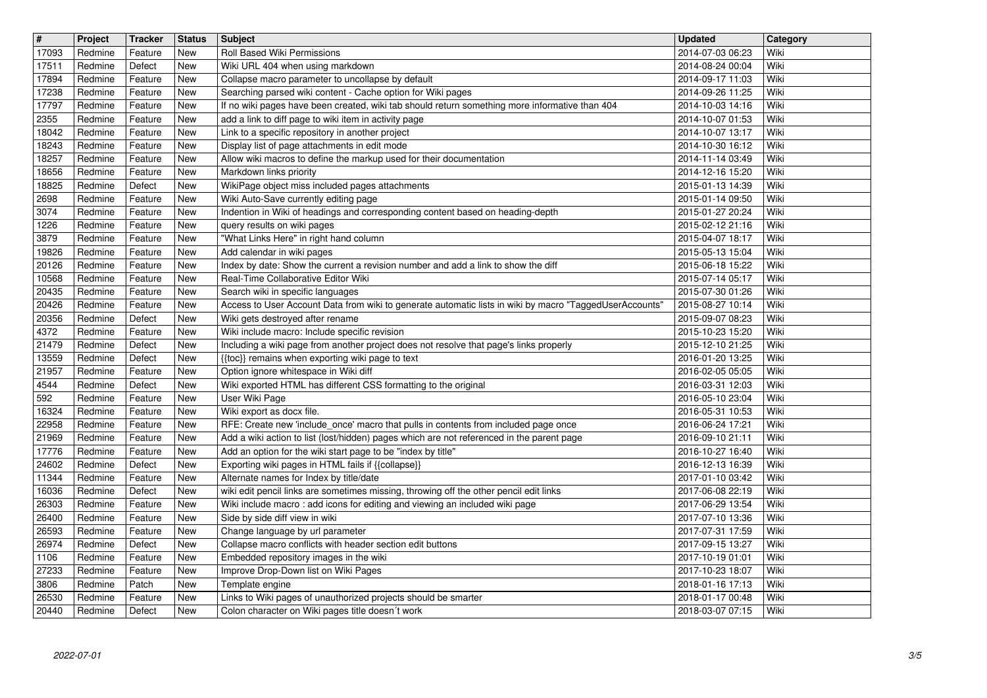| $\overline{\mathbf{H}}$<br>17093 | Project<br>Redmine | <b>Tracker</b><br>Feature | <b>Status</b><br>New | <b>Subject</b><br>Roll Based Wiki Permissions                                                                                                                         | <b>Updated</b><br>2014-07-03 06:23   | Category<br>Wiki |
|----------------------------------|--------------------|---------------------------|----------------------|-----------------------------------------------------------------------------------------------------------------------------------------------------------------------|--------------------------------------|------------------|
| 17511                            | Redmine            | Defect                    | New                  | Wiki URL 404 when using markdown                                                                                                                                      | 2014-08-24 00:04                     | Wiki             |
| 17894<br>17238                   | Redmine<br>Redmine | Feature<br>Feature        | New<br>New           | Collapse macro parameter to uncollapse by default<br>Searching parsed wiki content - Cache option for Wiki pages                                                      | 2014-09-17 11:03<br>2014-09-26 11:25 | Wiki<br>Wiki     |
| 17797                            | Redmine            | Feature                   | New                  | If no wiki pages have been created, wiki tab should return something more informative than 404                                                                        | 2014-10-03 14:16                     | Wiki             |
| 2355<br>18042                    | Redmine<br>Redmine | Feature<br>Feature        | New<br>New           | add a link to diff page to wiki item in activity page<br>Link to a specific repository in another project                                                             | 2014-10-07 01:53<br>2014-10-07 13:17 | Wiki<br>Wiki     |
| 18243                            | Redmine            | Feature                   | New                  | Display list of page attachments in edit mode                                                                                                                         | 2014-10-30 16:12                     | Wiki             |
| 18257<br>18656                   | Redmine<br>Redmine | Feature<br>Feature        | New<br><b>New</b>    | Allow wiki macros to define the markup used for their documentation<br>Markdown links priority                                                                        | 2014-11-14 03:49<br>2014-12-16 15:20 | Wiki<br>Wiki     |
| 18825                            | Redmine            | Defect                    | <b>New</b>           | WikiPage object miss included pages attachments                                                                                                                       | 2015-01-13 14:39                     | Wiki             |
| 2698<br>3074                     | Redmine<br>Redmine | Feature<br>Feature        | New<br>New           | Wiki Auto-Save currently editing page<br>Indention in Wiki of headings and corresponding content based on heading-depth                                               | 2015-01-14 09:50<br>2015-01-27 20:24 | Wiki<br>Wiki     |
| 1226<br>3879                     | Redmine<br>Redmine | Feature<br>Feature        | New<br>New           | query results on wiki pages<br>"What Links Here" in right hand column                                                                                                 | 2015-02-12 21:16<br>2015-04-07 18:17 | Wiki<br>Wiki     |
| 19826                            | Redmine            | Feature                   | New                  | Add calendar in wiki pages                                                                                                                                            | 2015-05-13 15:04                     | Wiki             |
| 20126<br>10568                   | Redmine<br>Redmine | Feature<br>Feature        | New<br>New           | Index by date: Show the current a revision number and add a link to show the diff<br>Real-Time Collaborative Editor Wiki                                              | 2015-06-18 15:22<br>2015-07-14 05:17 | Wiki<br>Wiki     |
| 20435                            | Redmine            | Feature                   | New                  | Search wiki in specific languages                                                                                                                                     | 2015-07-30 01:26                     | Wiki             |
| 20426<br>20356                   | Redmine<br>Redmine | Feature<br>Defect         | New<br>New           | Access to User Account Data from wiki to generate automatic lists in wiki by macro "TaggedUserAccounts"<br>Wiki gets destroyed after rename                           | 2015-08-27 10:14<br>2015-09-07 08:23 | Wiki<br>Wiki     |
| 4372                             | Redmine            | Feature                   | New                  | Wiki include macro: Include specific revision                                                                                                                         | 2015-10-23 15:20                     | Wiki             |
| 21479<br>13559                   | Redmine<br>Redmine | Defect<br>Defect          | New<br>New           | Including a wiki page from another project does not resolve that page's links properly<br>{{toc}} remains when exporting wiki page to text                            | 2015-12-10 21:25<br>2016-01-20 13:25 | Wiki<br>Wiki     |
| 21957                            | Redmine            | Feature                   | New                  | Option ignore whitespace in Wiki diff<br>Wiki exported HTML has different CSS formatting to the original                                                              | 2016-02-05 05:05                     | Wiki<br>Wiki     |
| 4544<br>592                      | Redmine<br>Redmine | Defect<br>Feature         | New<br>New           | User Wiki Page                                                                                                                                                        | 2016-03-31 12:03<br>2016-05-10 23:04 | Wiki             |
| 16324<br>22958                   | Redmine<br>Redmine | Feature<br>Feature        | New<br>New           | Wiki export as docx file.<br>RFE: Create new 'include_once' macro that pulls in contents from included page once                                                      | 2016-05-31 10:53<br>2016-06-24 17:21 | Wiki<br>Wiki     |
| 21969                            | Redmine            | Feature                   | New                  | Add a wiki action to list (lost/hidden) pages which are not referenced in the parent page                                                                             | 2016-09-10 21:11                     | Wiki             |
| 17776<br>24602                   | Redmine<br>Redmine | Feature<br>Defect         | New<br>New           | Add an option for the wiki start page to be "index by title"<br>Exporting wiki pages in HTML fails if {{collapse}}                                                    | 2016-10-27 16:40<br>2016-12-13 16:39 | Wiki<br>Wiki     |
| 11344                            | Redmine            | Feature                   | New                  | Alternate names for Index by title/date                                                                                                                               | 2017-01-10 03:42                     | Wiki             |
| 16036<br>26303                   | Redmine<br>Redmine | Defect<br>Feature         | New<br>New           | wiki edit pencil links are sometimes missing, throwing off the other pencil edit links<br>Wiki include macro: add icons for editing and viewing an included wiki page | 2017-06-08 22:19<br>2017-06-29 13:54 | Wiki<br>Wiki     |
| 26400                            | Redmine            | Feature                   | New                  | Side by side diff view in wiki                                                                                                                                        | 2017-07-10 13:36                     | Wiki             |
| 26593<br>26974                   | Redmine<br>Redmine | Feature<br>Defect         | New<br>New           | Change language by url parameter<br>Collapse macro conflicts with header section edit buttons                                                                         | 2017-07-31 17:59<br>2017-09-15 13:27 | Wiki<br>Wiki     |
| 1106                             | Redmine            | Feature                   | New<br>New           | Embedded repository images in the wiki                                                                                                                                | 2017-10-19 01:01                     | Wiki<br>Wiki     |
| 27233<br>3806                    | Redmine<br>Redmine | Feature<br>Patch          | New                  | Improve Drop-Down list on Wiki Pages<br>Template engine                                                                                                               | 2017-10-23 18:07<br>2018-01-16 17:13 | Wiki             |
| 26530<br>20440                   | Redmine<br>Redmine | Feature<br>Defect         | New<br>New           | Links to Wiki pages of unauthorized projects should be smarter<br>Colon character on Wiki pages title doesn't work                                                    | 2018-01-17 00:48<br>2018-03-07 07:15 | Wiki<br>Wiki     |
|                                  |                    |                           |                      |                                                                                                                                                                       |                                      |                  |
|                                  |                    |                           |                      |                                                                                                                                                                       |                                      |                  |
|                                  |                    |                           |                      |                                                                                                                                                                       |                                      |                  |
|                                  |                    |                           |                      |                                                                                                                                                                       |                                      |                  |
|                                  |                    |                           |                      |                                                                                                                                                                       |                                      |                  |
|                                  |                    |                           |                      |                                                                                                                                                                       |                                      |                  |
|                                  |                    |                           |                      |                                                                                                                                                                       |                                      |                  |
|                                  |                    |                           |                      |                                                                                                                                                                       |                                      |                  |
|                                  |                    |                           |                      |                                                                                                                                                                       |                                      |                  |
|                                  |                    |                           |                      |                                                                                                                                                                       |                                      |                  |
|                                  |                    |                           |                      |                                                                                                                                                                       |                                      |                  |
|                                  |                    |                           |                      |                                                                                                                                                                       |                                      |                  |
|                                  |                    |                           |                      |                                                                                                                                                                       |                                      |                  |
|                                  |                    |                           |                      |                                                                                                                                                                       |                                      |                  |
|                                  |                    |                           |                      |                                                                                                                                                                       |                                      |                  |
|                                  |                    |                           |                      |                                                                                                                                                                       |                                      |                  |
|                                  |                    |                           |                      |                                                                                                                                                                       |                                      |                  |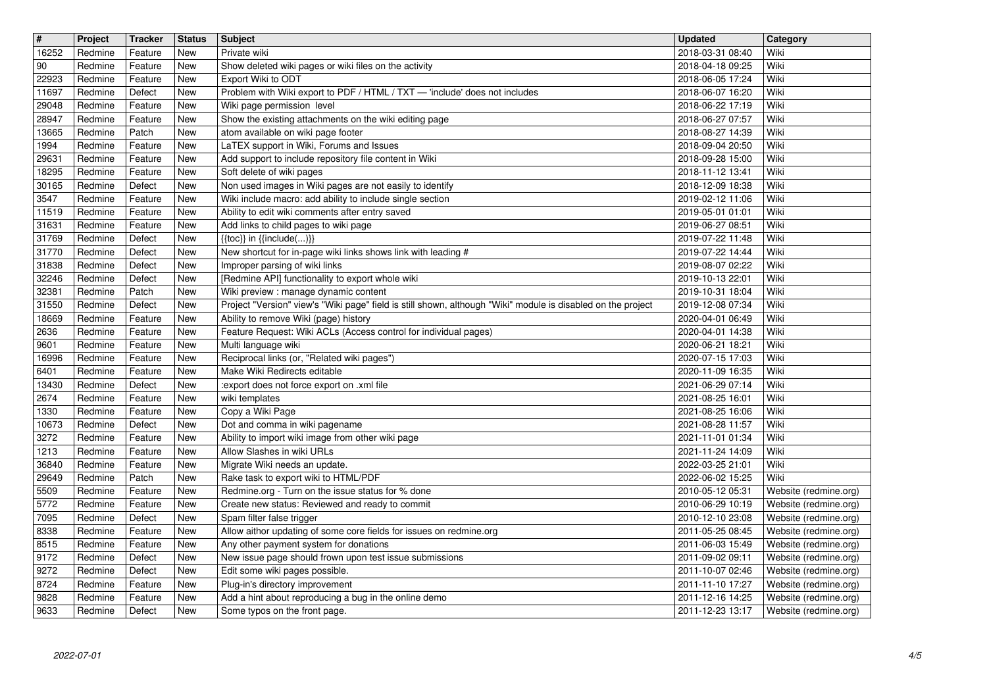| $\overline{\mathbf{H}}$<br>16252 | Project<br>Redmine | Tracker<br>Feature | <b>Status</b><br>New | Subject<br>Private wiki                                                                                                     | <b>Updated</b><br>2018-03-31 08:40   | Category<br>Wiki                               |
|----------------------------------|--------------------|--------------------|----------------------|-----------------------------------------------------------------------------------------------------------------------------|--------------------------------------|------------------------------------------------|
| 90                               | Redmine            | Feature            | New                  | Show deleted wiki pages or wiki files on the activity                                                                       | 2018-04-18 09:25                     | Wiki                                           |
| 22923<br>11697                   | Redmine<br>Redmine | Feature<br>Defect  | New<br>New           | Export Wiki to ODT<br>Problem with Wiki export to PDF / HTML / TXT - 'include' does not includes                            | 2018-06-05 17:24<br>2018-06-07 16:20 | Wiki<br>Wiki                                   |
| 29048                            | Redmine            | Feature            | New                  | Wiki page permission level                                                                                                  | 2018-06-22 17:19                     | Wiki                                           |
| 28947<br>13665                   | Redmine<br>Redmine | Feature<br>Patch   | New<br>New           | Show the existing attachments on the wiki editing page<br>atom available on wiki page footer                                | 2018-06-27 07:57<br>2018-08-27 14:39 | Wiki<br>Wiki                                   |
| 1994                             | Redmine            | Feature            | New                  | LaTEX support in Wiki, Forums and Issues                                                                                    | 2018-09-04 20:50                     | Wiki                                           |
| 29631                            | Redmine            | Feature            | New                  | Add support to include repository file content in Wiki                                                                      | 2018-09-28 15:00                     | Wiki                                           |
| 18295<br>30165                   | Redmine<br>Redmine | Feature<br>Defect  | New<br>New           | Soft delete of wiki pages<br>Non used images in Wiki pages are not easily to identify                                       | 2018-11-12 13:41<br>2018-12-09 18:38 | Wiki<br>Wiki                                   |
| 3547<br>11519                    | Redmine<br>Redmine | Feature<br>Feature | New<br>New           | Wiki include macro: add ability to include single section<br>Ability to edit wiki comments after entry saved                | 2019-02-12 11:06<br>2019-05-01 01:01 | Wiki<br>Wiki                                   |
| 31631                            | Redmine            | Feature            | New                  | Add links to child pages to wiki page                                                                                       | 2019-06-27 08:51                     | Wiki                                           |
| 31769<br>31770                   | Redmine<br>Redmine | Defect<br>Defect   | New<br>New           | $\{ \{ \text{toc} \} \}$ in $\{ \{ \text{include} ()\} \}$<br>New shortcut for in-page wiki links shows link with leading # | 2019-07-22 11:48<br>2019-07-22 14:44 | Wiki<br>Wiki                                   |
| 31838                            | Redmine            | Defect             | New                  | Improper parsing of wiki links                                                                                              | 2019-08-07 02:22                     | Wiki                                           |
| 32246<br>32381                   | Redmine<br>Redmine | Defect<br>Patch    | New<br>New           | [Redmine API] functionality to export whole wiki<br>Wiki preview : manage dynamic content                                   | 2019-10-13 22:01<br>2019-10-31 18:04 | Wiki<br>Wiki                                   |
| 31550                            | Redmine            | Defect             | New                  | Project "Version" view's "Wiki page" field is still shown, although "Wiki" module is disabled on the project                | 2019-12-08 07:34                     | Wiki                                           |
| 18669<br>2636                    | Redmine<br>Redmine | Feature<br>Feature | New<br>New           | Ability to remove Wiki (page) history<br>Feature Request: Wiki ACLs (Access control for individual pages)                   | 2020-04-01 06:49<br>2020-04-01 14:38 | Wiki<br>Wiki                                   |
| 9601                             | Redmine            | Feature            | New                  | Multi language wiki                                                                                                         | 2020-06-21 18:21                     | Wiki                                           |
| 16996<br>6401                    | Redmine<br>Redmine | Feature<br>Feature | New<br>New           | Reciprocal links (or, "Related wiki pages")<br>Make Wiki Redirects editable                                                 | 2020-07-15 17:03<br>2020-11-09 16:35 | Wiki<br>Wiki                                   |
| 13430                            | Redmine            | Defect             | New                  | :export does not force export on .xml file<br>wiki templates                                                                | 2021-06-29 07:14                     | Wiki<br>Wiki                                   |
| 2674<br>1330                     | Redmine<br>Redmine | Feature<br>Feature | New<br>New           | Copy a Wiki Page                                                                                                            | 2021-08-25 16:01<br>2021-08-25 16:06 | Wiki                                           |
| 10673                            | Redmine            | Defect             | New                  | Dot and comma in wiki pagename                                                                                              | 2021-08-28 11:57                     | Wiki<br>Wiki                                   |
| 3272<br>1213                     | Redmine<br>Redmine | Feature<br>Feature | New<br>New           | Ability to import wiki image from other wiki page<br>Allow Slashes in wiki URLs                                             | 2021-11-01 01:34<br>2021-11-24 14:09 | Wiki                                           |
| 36840<br>29649                   | Redmine<br>Redmine | Feature<br>Patch   | New<br>New           | Migrate Wiki needs an update.<br>Rake task to export wiki to HTML/PDF                                                       | 2022-03-25 21:01<br>2022-06-02 15:25 | Wiki<br>Wiki                                   |
| 5509                             | Redmine            | Feature            | New                  | Redmine.org - Turn on the issue status for % done                                                                           | 2010-05-12 05:31                     | Website (redmine.org)                          |
| 5772<br>7095                     | Redmine<br>Redmine | Feature<br>Defect  | New<br>New           | Create new status: Reviewed and ready to commit<br>Spam filter false trigger                                                | 2010-06-29 10:19<br>2010-12-10 23:08 | Website (redmine.org)<br>Website (redmine.org) |
| 8338                             | Redmine            | Feature            | New                  | Allow aithor updating of some core fields for issues on redmine.org                                                         | 2011-05-25 08:45                     | Website (redmine.org)                          |
| 8515<br>9172                     | Redmine<br>Redmine | Feature<br>Defect  | New<br>New           | Any other payment system for donations<br>New issue page should frown upon test issue submissions                           | 2011-06-03 15:49<br>2011-09-02 09:11 | Website (redmine.org)<br>Website (redmine.org) |
| 9272                             | Redmine            | Defect             | <b>New</b>           | Edit some wiki pages possible.                                                                                              | 2011-10-07 02:46                     | Website (redmine.org)                          |
| 8724<br>9828                     | Redmine<br>Redmine | Feature<br>Feature | New<br>New           | Plug-in's directory improvement<br>Add a hint about reproducing a bug in the online demo                                    | 2011-11-10 17:27<br>2011-12-16 14:25 | Website (redmine.org)<br>Website (redmine.org) |
| 9633                             | Redmine            | Defect             | New                  | Some typos on the front page.                                                                                               | 2011-12-23 13:17                     | Website (redmine.org)                          |
|                                  |                    |                    |                      |                                                                                                                             |                                      |                                                |
|                                  |                    |                    |                      |                                                                                                                             |                                      |                                                |
|                                  |                    |                    |                      |                                                                                                                             |                                      |                                                |
|                                  |                    |                    |                      |                                                                                                                             |                                      |                                                |
|                                  |                    |                    |                      |                                                                                                                             |                                      |                                                |
|                                  |                    |                    |                      |                                                                                                                             |                                      |                                                |
|                                  |                    |                    |                      |                                                                                                                             |                                      |                                                |
|                                  |                    |                    |                      |                                                                                                                             |                                      |                                                |
|                                  |                    |                    |                      |                                                                                                                             |                                      |                                                |